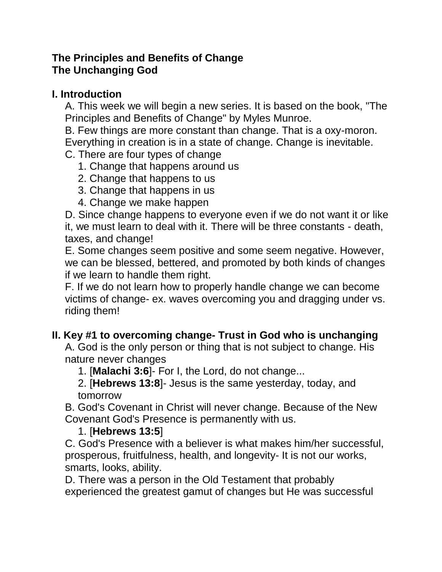### **The Principles and Benefits of Change The Unchanging God**

## **I. Introduction**

A. This week we will begin a new series. It is based on the book, "The Principles and Benefits of Change" by Myles Munroe.

B. Few things are more constant than change. That is a oxy-moron.

Everything in creation is in a state of change. Change is inevitable.

## C. There are four types of change

- 1. Change that happens around us
- 2. Change that happens to us
- 3. Change that happens in us
- 4. Change we make happen

D. Since change happens to everyone even if we do not want it or like it, we must learn to deal with it. There will be three constants - death, taxes, and change!

E. Some changes seem positive and some seem negative. However, we can be blessed, bettered, and promoted by both kinds of changes if we learn to handle them right.

F. If we do not learn how to properly handle change we can become victims of change- ex. waves overcoming you and dragging under vs. riding them!

# **II. Key #1 to overcoming change- Trust in God who is unchanging**

A. God is the only person or thing that is not subject to change. His nature never changes

1. [**Malachi 3:6**]- For I, the Lord, do not change...

2. [**Hebrews 13:8**]- Jesus is the same yesterday, today, and tomorrow

B. God's Covenant in Christ will never change. Because of the New Covenant God's Presence is permanently with us.

## 1. [**Hebrews 13:5**]

C. God's Presence with a believer is what makes him/her successful, prosperous, fruitfulness, health, and longevity- It is not our works, smarts, looks, ability.

D. There was a person in the Old Testament that probably experienced the greatest gamut of changes but He was successful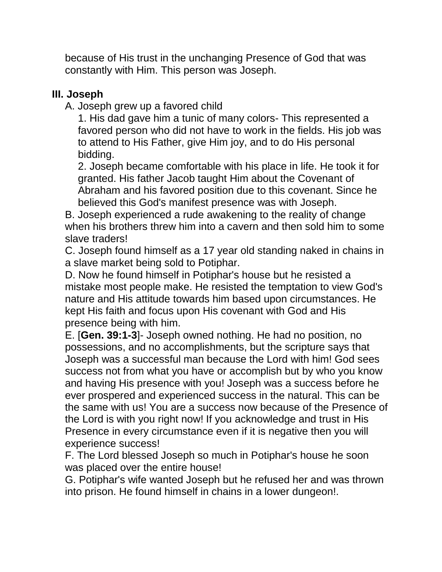because of His trust in the unchanging Presence of God that was constantly with Him. This person was Joseph.

## **III. Joseph**

A. Joseph grew up a favored child

1. His dad gave him a tunic of many colors- This represented a favored person who did not have to work in the fields. His job was to attend to His Father, give Him joy, and to do His personal bidding.

2. Joseph became comfortable with his place in life. He took it for granted. His father Jacob taught Him about the Covenant of Abraham and his favored position due to this covenant. Since he believed this God's manifest presence was with Joseph.

B. Joseph experienced a rude awakening to the reality of change when his brothers threw him into a cavern and then sold him to some slave traders!

C. Joseph found himself as a 17 year old standing naked in chains in a slave market being sold to Potiphar.

D. Now he found himself in Potiphar's house but he resisted a mistake most people make. He resisted the temptation to view God's nature and His attitude towards him based upon circumstances. He kept His faith and focus upon His covenant with God and His presence being with him.

E. [**Gen. 39:1-3**]- Joseph owned nothing. He had no position, no possessions, and no accomplishments, but the scripture says that Joseph was a successful man because the Lord with him! God sees success not from what you have or accomplish but by who you know and having His presence with you! Joseph was a success before he ever prospered and experienced success in the natural. This can be the same with us! You are a success now because of the Presence of the Lord is with you right now! If you acknowledge and trust in His Presence in every circumstance even if it is negative then you will experience success!

F. The Lord blessed Joseph so much in Potiphar's house he soon was placed over the entire house!

G. Potiphar's wife wanted Joseph but he refused her and was thrown into prison. He found himself in chains in a lower dungeon!.